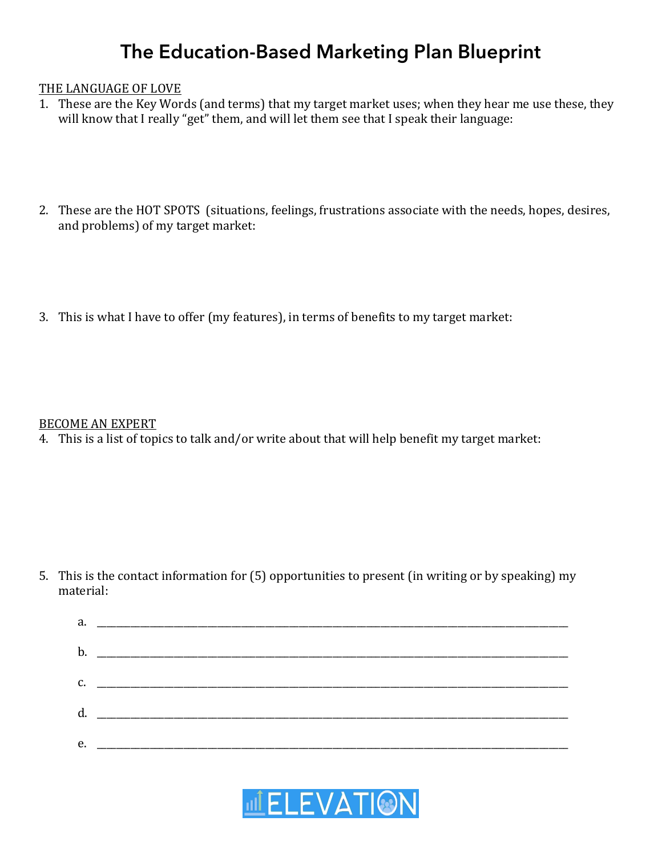# **The Education-Based Marketing Plan Blueprint**

#### THE LANGUAGE OF LOVE

- 1. These are the Key Words (and terms) that my target market uses; when they hear me use these, they will know that I really "get" them, and will let them see that I speak their language:
- 2. These are the HOT SPOTS (situations, feelings, frustrations associate with the needs, hopes, desires, and problems) of my target market:
- 3. This is what I have to offer (my features), in terms of benefits to my target market:

#### BECOME AN EXPERT

4. This is a list of topics to talk and/or write about that will help benefit my target market:

5. This is the contact information for (5) opportunities to present (in writing or by speaking) my material:

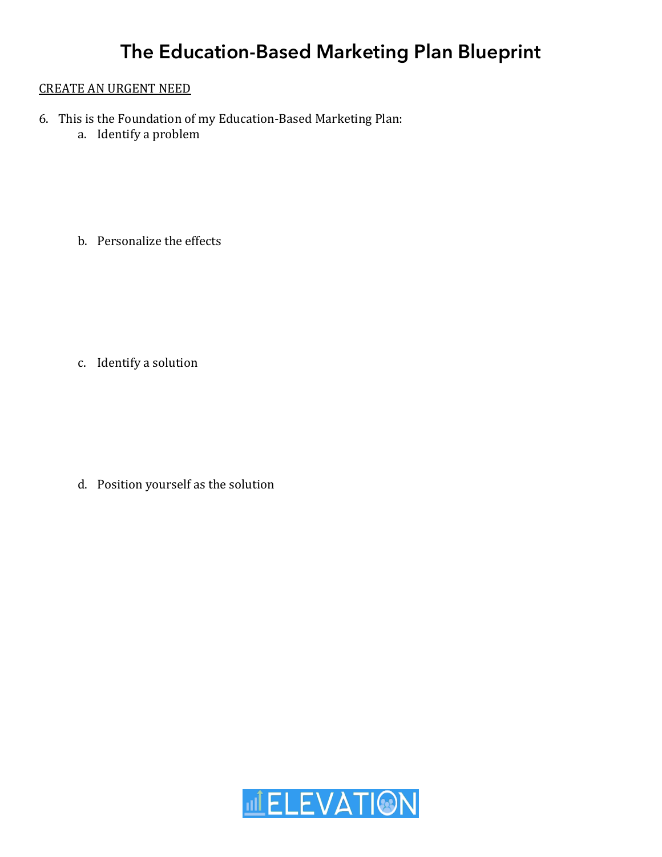### **CREATE AN URGENT NEED**

- 6. This is the Foundation of my Education-Based Marketing Plan:
	- a. Identify a problem

b. Personalize the effects

c. Identify a solution

d. Position yourself as the solution